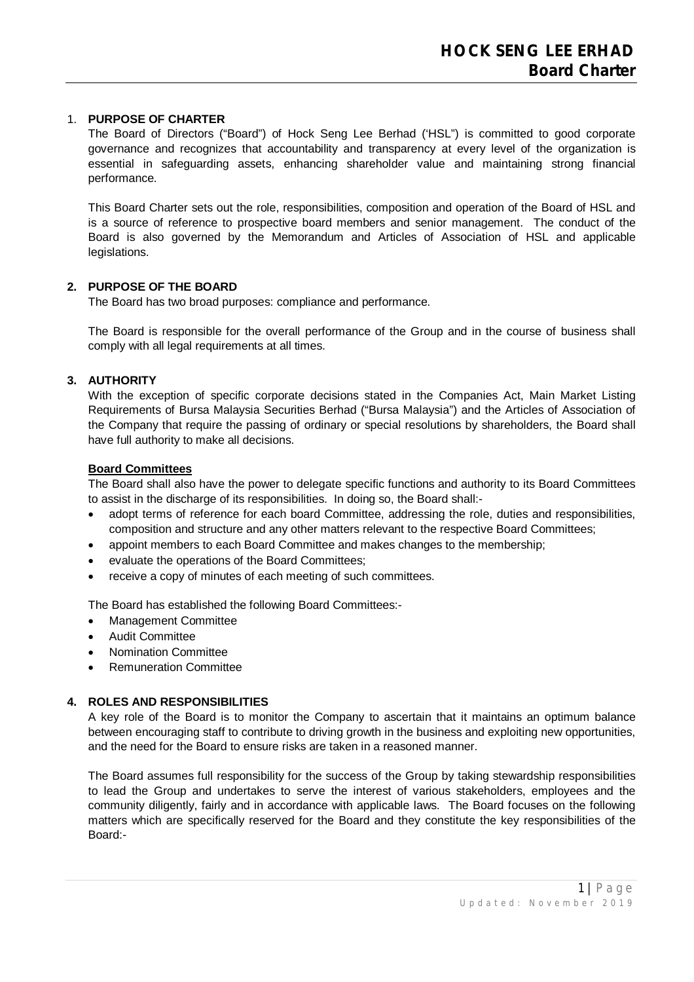# 1. **PURPOSE OF CHARTER**

The Board of Directors ("Board") of Hock Seng Lee Berhad ('HSL") is committed to good corporate governance and recognizes that accountability and transparency at every level of the organization is essential in safeguarding assets, enhancing shareholder value and maintaining strong financial performance.

This Board Charter sets out the role, responsibilities, composition and operation of the Board of HSL and is a source of reference to prospective board members and senior management. The conduct of the Board is also governed by the Memorandum and Articles of Association of HSL and applicable legislations.

# **2. PURPOSE OF THE BOARD**

The Board has two broad purposes: compliance and performance.

The Board is responsible for the overall performance of the Group and in the course of business shall comply with all legal requirements at all times.

# **3. AUTHORITY**

With the exception of specific corporate decisions stated in the Companies Act, Main Market Listing Requirements of Bursa Malaysia Securities Berhad ("Bursa Malaysia") and the Articles of Association of the Company that require the passing of ordinary or special resolutions by shareholders, the Board shall have full authority to make all decisions.

#### **Board Committees**

The Board shall also have the power to delegate specific functions and authority to its Board Committees to assist in the discharge of its responsibilities. In doing so, the Board shall:-

- adopt terms of reference for each board Committee, addressing the role, duties and responsibilities, composition and structure and any other matters relevant to the respective Board Committees;
- appoint members to each Board Committee and makes changes to the membership;
- evaluate the operations of the Board Committees;
- receive a copy of minutes of each meeting of such committees.

The Board has established the following Board Committees:-

- Management Committee
- Audit Committee
- Nomination Committee
- Remuneration Committee

### **4. ROLES AND RESPONSIBILITIES**

A key role of the Board is to monitor the Company to ascertain that it maintains an optimum balance between encouraging staff to contribute to driving growth in the business and exploiting new opportunities, and the need for the Board to ensure risks are taken in a reasoned manner.

The Board assumes full responsibility for the success of the Group by taking stewardship responsibilities to lead the Group and undertakes to serve the interest of various stakeholders, employees and the community diligently, fairly and in accordance with applicable laws. The Board focuses on the following matters which are specifically reserved for the Board and they constitute the key responsibilities of the Board:-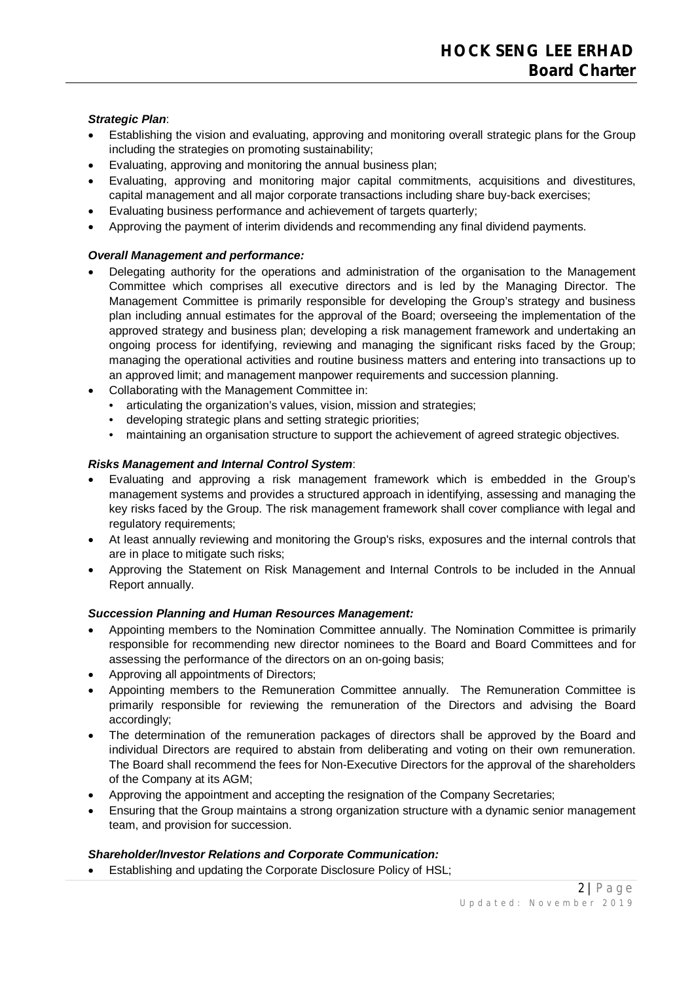# *Strategic Plan*:

- Establishing the vision and evaluating, approving and monitoring overall strategic plans for the Group including the strategies on promoting sustainability;
- Evaluating, approving and monitoring the annual business plan;
- Evaluating, approving and monitoring major capital commitments, acquisitions and divestitures, capital management and all major corporate transactions including share buy-back exercises;
- Evaluating business performance and achievement of targets quarterly;
- Approving the payment of interim dividends and recommending any final dividend payments.

# *Overall Management and performance:*

- Delegating authority for the operations and administration of the organisation to the Management Committee which comprises all executive directors and is led by the Managing Director. The Management Committee is primarily responsible for developing the Group's strategy and business plan including annual estimates for the approval of the Board; overseeing the implementation of the approved strategy and business plan; developing a risk management framework and undertaking an ongoing process for identifying, reviewing and managing the significant risks faced by the Group; managing the operational activities and routine business matters and entering into transactions up to an approved limit; and management manpower requirements and succession planning.
- Collaborating with the Management Committee in:
	- articulating the organization's values, vision, mission and strategies;
	- developing strategic plans and setting strategic priorities;
	- maintaining an organisation structure to support the achievement of agreed strategic objectives.

# *Risks Management and Internal Control System*:

- Evaluating and approving a risk management framework which is embedded in the Group's management systems and provides a structured approach in identifying, assessing and managing the key risks faced by the Group. The risk management framework shall cover compliance with legal and regulatory requirements;
- At least annually reviewing and monitoring the Group's risks, exposures and the internal controls that are in place to mitigate such risks;
- Approving the Statement on Risk Management and Internal Controls to be included in the Annual Report annually.

# *Succession Planning and Human Resources Management:*

- Appointing members to the Nomination Committee annually. The Nomination Committee is primarily responsible for recommending new director nominees to the Board and Board Committees and for assessing the performance of the directors on an on-going basis;
- Approving all appointments of Directors;
- Appointing members to the Remuneration Committee annually. The Remuneration Committee is primarily responsible for reviewing the remuneration of the Directors and advising the Board accordingly;
- The determination of the remuneration packages of directors shall be approved by the Board and individual Directors are required to abstain from deliberating and voting on their own remuneration. The Board shall recommend the fees for Non-Executive Directors for the approval of the shareholders of the Company at its AGM;
- Approving the appointment and accepting the resignation of the Company Secretaries;
- Ensuring that the Group maintains a strong organization structure with a dynamic senior management team, and provision for succession.

# *Shareholder/Investor Relations and Corporate Communication:*

Establishing and updating the Corporate Disclosure Policy of HSL;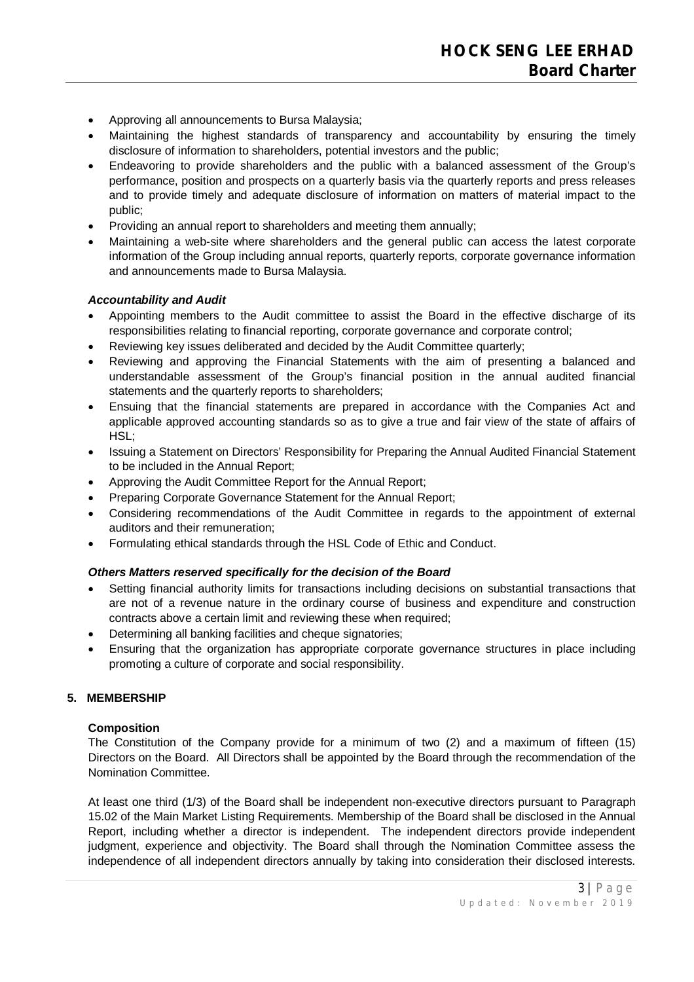- Approving all announcements to Bursa Malaysia;
- Maintaining the highest standards of transparency and accountability by ensuring the timely disclosure of information to shareholders, potential investors and the public;
- Endeavoring to provide shareholders and the public with a balanced assessment of the Group's performance, position and prospects on a quarterly basis via the quarterly reports and press releases and to provide timely and adequate disclosure of information on matters of material impact to the public;
- Providing an annual report to shareholders and meeting them annually;
- Maintaining a web-site where shareholders and the general public can access the latest corporate information of the Group including annual reports, quarterly reports, corporate governance information and announcements made to Bursa Malaysia.

# *Accountability and Audit*

- Appointing members to the Audit committee to assist the Board in the effective discharge of its responsibilities relating to financial reporting, corporate governance and corporate control;
- Reviewing key issues deliberated and decided by the Audit Committee quarterly;
- Reviewing and approving the Financial Statements with the aim of presenting a balanced and understandable assessment of the Group's financial position in the annual audited financial statements and the quarterly reports to shareholders;
- Ensuing that the financial statements are prepared in accordance with the Companies Act and applicable approved accounting standards so as to give a true and fair view of the state of affairs of HSL;
- Issuing a Statement on Directors' Responsibility for Preparing the Annual Audited Financial Statement to be included in the Annual Report;
- Approving the Audit Committee Report for the Annual Report;
- Preparing Corporate Governance Statement for the Annual Report;
- Considering recommendations of the Audit Committee in regards to the appointment of external auditors and their remuneration;
- Formulating ethical standards through the HSL Code of Ethic and Conduct.

# *Others Matters reserved specifically for the decision of the Board*

- Setting financial authority limits for transactions including decisions on substantial transactions that are not of a revenue nature in the ordinary course of business and expenditure and construction contracts above a certain limit and reviewing these when required;
- Determining all banking facilities and cheque signatories;
- Ensuring that the organization has appropriate corporate governance structures in place including promoting a culture of corporate and social responsibility.

# **5. MEMBERSHIP**

# **Composition**

The Constitution of the Company provide for a minimum of two (2) and a maximum of fifteen (15) Directors on the Board. All Directors shall be appointed by the Board through the recommendation of the Nomination Committee.

At least one third (1/3) of the Board shall be independent non-executive directors pursuant to Paragraph 15.02 of the Main Market Listing Requirements. Membership of the Board shall be disclosed in the Annual Report, including whether a director is independent. The independent directors provide independent judgment, experience and objectivity. The Board shall through the Nomination Committee assess the independence of all independent directors annually by taking into consideration their disclosed interests.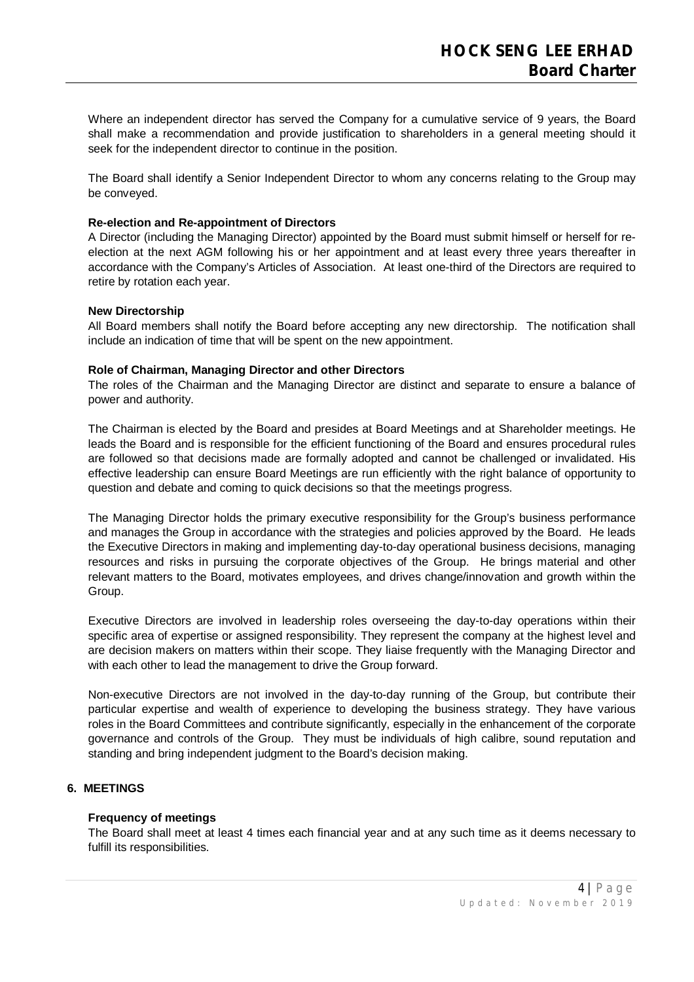Where an independent director has served the Company for a cumulative service of 9 years, the Board shall make a recommendation and provide justification to shareholders in a general meeting should it seek for the independent director to continue in the position.

The Board shall identify a Senior Independent Director to whom any concerns relating to the Group may be conveyed.

### **Re-election and Re-appointment of Directors**

A Director (including the Managing Director) appointed by the Board must submit himself or herself for reelection at the next AGM following his or her appointment and at least every three years thereafter in accordance with the Company's Articles of Association. At least one-third of the Directors are required to retire by rotation each year.

### **New Directorship**

All Board members shall notify the Board before accepting any new directorship. The notification shall include an indication of time that will be spent on the new appointment.

### **Role of Chairman, Managing Director and other Directors**

The roles of the Chairman and the Managing Director are distinct and separate to ensure a balance of power and authority.

The Chairman is elected by the Board and presides at Board Meetings and at Shareholder meetings. He leads the Board and is responsible for the efficient functioning of the Board and ensures procedural rules are followed so that decisions made are formally adopted and cannot be challenged or invalidated. His effective leadership can ensure Board Meetings are run efficiently with the right balance of opportunity to question and debate and coming to quick decisions so that the meetings progress.

The Managing Director holds the primary executive responsibility for the Group's business performance and manages the Group in accordance with the strategies and policies approved by the Board. He leads the Executive Directors in making and implementing day-to-day operational business decisions, managing resources and risks in pursuing the corporate objectives of the Group. He brings material and other relevant matters to the Board, motivates employees, and drives change/innovation and growth within the Group.

Executive Directors are involved in leadership roles overseeing the day-to-day operations within their specific area of expertise or assigned responsibility. They represent the company at the highest level and are decision makers on matters within their scope. They liaise frequently with the Managing Director and with each other to lead the management to drive the Group forward.

Non-executive Directors are not involved in the day-to-day running of the Group, but contribute their particular expertise and wealth of experience to developing the business strategy. They have various roles in the Board Committees and contribute significantly, especially in the enhancement of the corporate governance and controls of the Group. They must be individuals of high calibre, sound reputation and standing and bring independent judgment to the Board's decision making.

# **6. MEETINGS**

#### **Frequency of meetings**

The Board shall meet at least 4 times each financial year and at any such time as it deems necessary to fulfill its responsibilities.